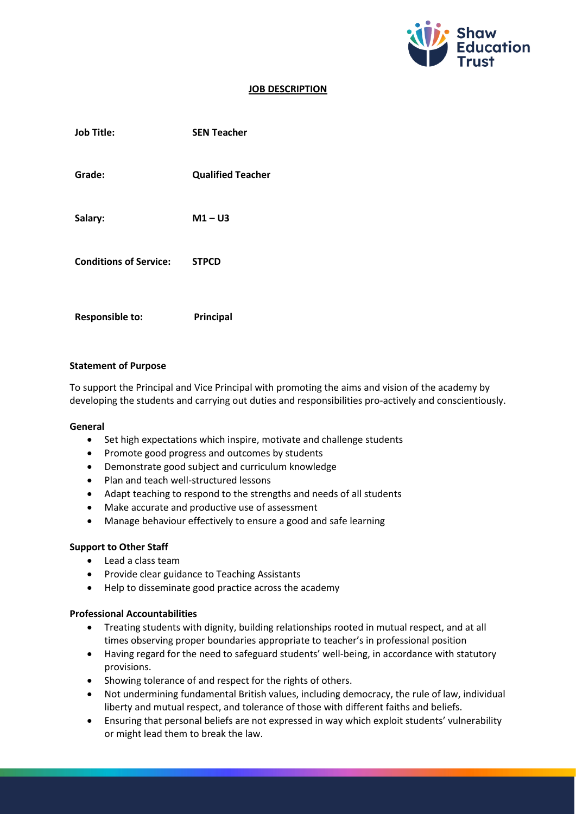

# **JOB DESCRIPTION**

| <b>Job Title:</b>             | <b>SEN Teacher</b>       |
|-------------------------------|--------------------------|
| Grade:                        | <b>Qualified Teacher</b> |
| Salary:                       | $M1 - U3$                |
| <b>Conditions of Service:</b> | <b>STPCD</b>             |
| <b>Responsible to:</b>        | <b>Principal</b>         |

### **Statement of Purpose**

To support the Principal and Vice Principal with promoting the aims and vision of the academy by developing the students and carrying out duties and responsibilities pro-actively and conscientiously.

#### **General**

- Set high expectations which inspire, motivate and challenge students
- Promote good progress and outcomes by students
- Demonstrate good subject and curriculum knowledge
- Plan and teach well-structured lessons
- Adapt teaching to respond to the strengths and needs of all students
- Make accurate and productive use of assessment
- Manage behaviour effectively to ensure a good and safe learning

#### **Support to Other Staff**

- Lead a class team
- Provide clear guidance to Teaching Assistants
- Help to disseminate good practice across the academy

## **Professional Accountabilities**

- Treating students with dignity, building relationships rooted in mutual respect, and at all times observing proper boundaries appropriate to teacher's in professional position
- Having regard for the need to safeguard students' well-being, in accordance with statutory provisions.
- Showing tolerance of and respect for the rights of others.
- Not undermining fundamental British values, including democracy, the rule of law, individual liberty and mutual respect, and tolerance of those with different faiths and beliefs.
- Ensuring that personal beliefs are not expressed in way which exploit students' vulnerability or might lead them to break the law.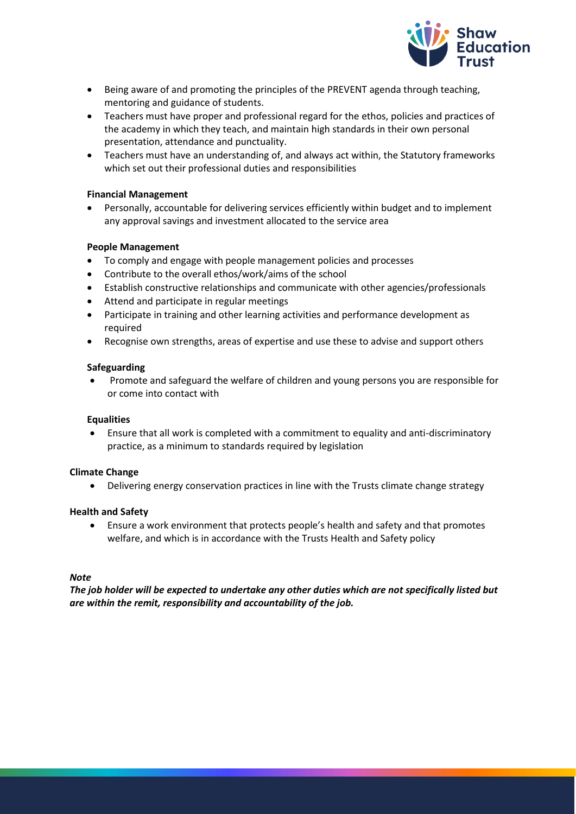

- Being aware of and promoting the principles of the PREVENT agenda through teaching, mentoring and guidance of students.
- Teachers must have proper and professional regard for the ethos, policies and practices of the academy in which they teach, and maintain high standards in their own personal presentation, attendance and punctuality.
- Teachers must have an understanding of, and always act within, the Statutory frameworks which set out their professional duties and responsibilities

## **Financial Management**

• Personally, accountable for delivering services efficiently within budget and to implement any approval savings and investment allocated to the service area

### **People Management**

- To comply and engage with people management policies and processes
- Contribute to the overall ethos/work/aims of the school
- Establish constructive relationships and communicate with other agencies/professionals
- Attend and participate in regular meetings
- Participate in training and other learning activities and performance development as required
- Recognise own strengths, areas of expertise and use these to advise and support others

### **Safeguarding**

• Promote and safeguard the welfare of children and young persons you are responsible for or come into contact with

#### **Equalities**

• Ensure that all work is completed with a commitment to equality and anti-discriminatory practice, as a minimum to standards required by legislation

## **Climate Change**

• Delivering energy conservation practices in line with the Trusts climate change strategy

#### **Health and Safety**

• Ensure a work environment that protects people's health and safety and that promotes welfare, and which is in accordance with the Trusts Health and Safety policy

#### *Note*

*The job holder will be expected to undertake any other duties which are not specifically listed but are within the remit, responsibility and accountability of the job.*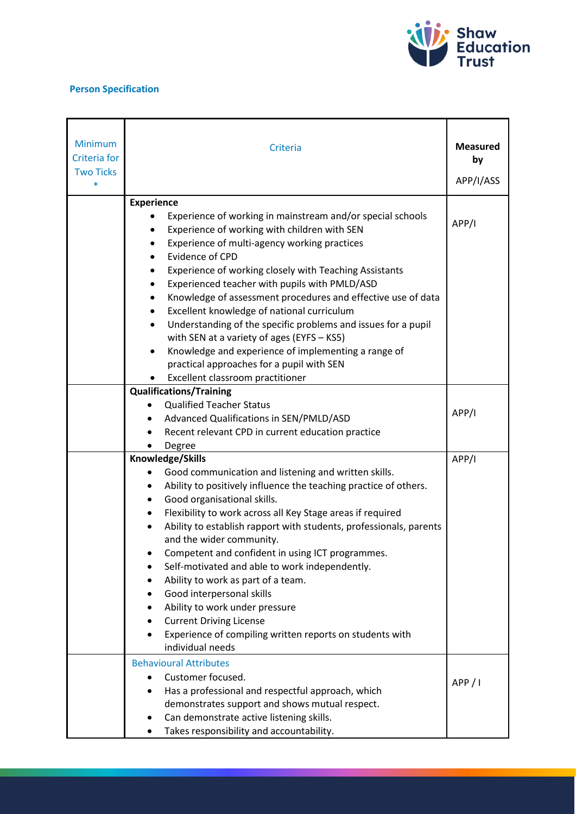

# **Person Specification**

| <b>Minimum</b><br><b>Criteria</b> for<br><b>Two Ticks</b> | Criteria                                                                                                                                                                                                                                                                                                                                                                                                                                                                                                                                                                                                                                                                       | <b>Measured</b><br>by |
|-----------------------------------------------------------|--------------------------------------------------------------------------------------------------------------------------------------------------------------------------------------------------------------------------------------------------------------------------------------------------------------------------------------------------------------------------------------------------------------------------------------------------------------------------------------------------------------------------------------------------------------------------------------------------------------------------------------------------------------------------------|-----------------------|
| $\ast$                                                    |                                                                                                                                                                                                                                                                                                                                                                                                                                                                                                                                                                                                                                                                                | APP/I/ASS             |
|                                                           | <b>Experience</b><br>Experience of working in mainstream and/or special schools<br>Experience of working with children with SEN<br>٠<br>Experience of multi-agency working practices<br>$\bullet$<br>Evidence of CPD<br>Experience of working closely with Teaching Assistants<br>Experienced teacher with pupils with PMLD/ASD<br>٠<br>Knowledge of assessment procedures and effective use of data<br>Excellent knowledge of national curriculum<br>Understanding of the specific problems and issues for a pupil<br>with SEN at a variety of ages (EYFS - KS5)<br>Knowledge and experience of implementing a range of<br>$\bullet$                                          | APP/I                 |
|                                                           | practical approaches for a pupil with SEN                                                                                                                                                                                                                                                                                                                                                                                                                                                                                                                                                                                                                                      |                       |
|                                                           | Excellent classroom practitioner<br><b>Qualifications/Training</b>                                                                                                                                                                                                                                                                                                                                                                                                                                                                                                                                                                                                             |                       |
|                                                           | <b>Qualified Teacher Status</b><br>Advanced Qualifications in SEN/PMLD/ASD<br>Recent relevant CPD in current education practice<br>$\bullet$                                                                                                                                                                                                                                                                                                                                                                                                                                                                                                                                   | APP/I                 |
|                                                           | Degree<br>Knowledge/Skills                                                                                                                                                                                                                                                                                                                                                                                                                                                                                                                                                                                                                                                     | APP/I                 |
|                                                           | Good communication and listening and written skills.<br>Ability to positively influence the teaching practice of others.<br>Good organisational skills.<br>$\bullet$<br>Flexibility to work across all Key Stage areas if required<br>$\bullet$<br>Ability to establish rapport with students, professionals, parents<br>and the wider community.<br>Competent and confident in using ICT programmes.<br>Self-motivated and able to work independently.<br>Ability to work as part of a team.<br>Good interpersonal skills<br>Ability to work under pressure<br><b>Current Driving License</b><br>Experience of compiling written reports on students with<br>individual needs |                       |
|                                                           | <b>Behavioural Attributes</b><br>Customer focused.<br>Has a professional and respectful approach, which<br>demonstrates support and shows mutual respect.<br>Can demonstrate active listening skills.<br>Takes responsibility and accountability.                                                                                                                                                                                                                                                                                                                                                                                                                              | APP/I                 |